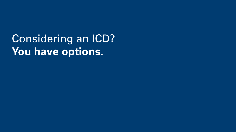Considering an ICD? **You have options.**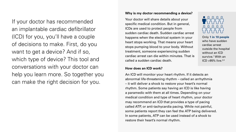If your doctor has recommended an implantable cardiac defibrillator (ICD) for you, you'll have a couple of decisions to make. First, do you want to get a device? And if so, which type of device? This tool and conversations with your doctor can help you learn more. So together you can make the right decision for you.

### **Why is my doctor recommending a device?**

Your doctor will share details about your specific medical condition. But in general, ICDs are used to protect people from sudden cardiac death. Sudden cardiac arrest happens when the electrical system in your heart stops working. That means your heart stops pumping blood to your body. Without treatment, someone experiencing sudden cardiac arrest can die within minutes. That is called a sudden cardiac death.

### **How does an ICD work?**

An ICD will monitor your heart rhythm. If it detects an abnormal life-threatening rhythm – called an arrhythmia – it will deliver a shock to restore your heart's normal rhythm. Some patients say having an ICD is like having a paramedic with them at all times. Depending on your medical condition and type of heart rhythm, your doctor may recommend an ICD that provides a type of pacing called ATP, or anti-tachycardia pacing. While not painful, some patients report they can feel the ATP being delivered. In some patients, ATP can be used instead of a shock to restore their heart's normal rhythm.



Only **1 in 10 people**  who have sudden cardiac arrest outside the hospital without an ICD survive.<sup>1</sup> With an  $ICD > 95\%$  live.<sup>2,3</sup>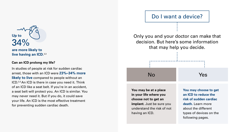34% **Up to**

**are more likely to live having an ICD.**2,3

### **Can an ICD prolong my life?**

In studies of people at risk for sudden cardiac arrest, those with an ICD were **23%–34% more likely to live** compared to people without an ICD.2,3 An ICD is there in case you need it. Think of an ICD like a seat belt. If you're in an accident, a seat belt will protect you. An ICD is similar. You may never need it. But if you do, it could save your life. An ICD is the most effective treatment for preventing sudden cardiac death.

# Only you and your doctor can make that decision. But here's some information that may help you decide. Do I want a device? No **You may be at a place in your life where you choose not to get an implant.** Just be sure you understand the risk of not having an ICD. Yes **You may choose to get an ICD to reduce the risk of sudden cardiac death.** Learn more about the different types of devices on the following pages.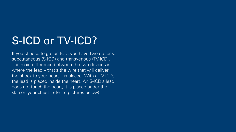# S-ICD or TV-ICD?

If you choose to get an ICD, you have two options: subcutaneous (S-ICD) and transvenous (TV-ICD). The main difference between the two devices is where the lead – that's the wire that will deliver the shock to your heart – is placed. With a TV-ICD, the lead is placed inside the heart. An S-ICD's lead does not touch the heart; it is placed under the skin on your chest (refer to pictures below).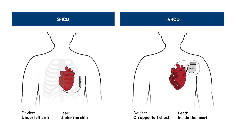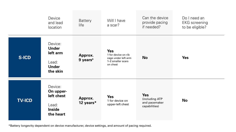|               | Device<br>and lead<br>location                                            | <b>Battery</b><br>life          | Will I have<br>a scar?                                                                    | Can the device<br>provide pacing<br>if needed?                 | Do I need an<br><b>EKG</b> screening<br>to be eligible? |
|---------------|---------------------------------------------------------------------------|---------------------------------|-------------------------------------------------------------------------------------------|----------------------------------------------------------------|---------------------------------------------------------|
| <b>S-ICD</b>  | Device:<br><b>Under</b><br>left arm<br>Lead:<br><b>Under</b><br>the skin  | Approx.<br>9 years <sup>4</sup> | <b>Yes</b><br>1 for device on rib<br>cage under left arm<br>1-2 smaller scars<br>on chest | <b>No</b>                                                      | <b>Yes</b>                                              |
| <b>TV-ICD</b> | Device:<br>On upper-<br>left chest<br>Lead:<br><b>Inside</b><br>the heart | Approx.<br>12 years*            | <b>Yes</b><br>1 for device on<br>upper-left chest                                         | <b>Yes</b><br>(including ATP<br>and pacemaker<br>capabilities) | <b>No</b>                                               |

\*Battery longevity dependent on device manufacturer, device settings, and amount of pacing required.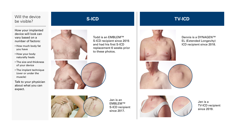Will the device be visible?

How your implanted device will look can vary based on a number of factors:

- How much body fat you have
- How your body naturally heals
- The size and thickness of your device
- The implant technique (over or under the muscle)

Talk to your physician about what you can expect.



Todd is an EMBLEM™ S-ICD recipient since 2015 and had his first S-ICD replacement 6 weeks prior to these photos.





Jan is an EMBLEM™ S-ICD recipient since 2017.



Jen is a TV-ICD recipient since 2019.



**S-ICD TV-ICD**

Dennis is a DYNAGEN™ EL (Extended Longevity) ICD recipient since 2018.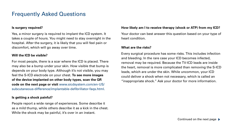# Frequently Asked Questions

### **Is surgery required?**

Yes, a minor surgery is required to implant the ICD system. It takes a couple of hours. You might need to stay overnight in the hospital. After the surgery, it is likely that you will feel pain or discomfort, which will go away over time.

### **Will the ICD be visible?**

For most people, there is a scar where the ICD is placed. There may also be a bump under your skin. How visible that bump is depends on your body type. Although it's not visible, you may feel the S-ICD electrode on your chest. **To see more images of the device implanted on other body types, scan the QR code on the next page or visit** www.sicdsystem.com/en-US/ subcutaneous-difference/implantable-defibrillator-faqs.html.

### **Is getting a shock painful?**

People report a wide range of experiences. Some describe it as a mild thump, while others describe it as a kick in the chest. While the shock may be painful, it's over in an instant.

### **How likely am I to receive therapy (shock or ATP) from my ICD?**

Your doctor can best answer this question based on your type of heart condition.

### **What are the risks?**

Every surgical procedure has some risks. This includes infection and bleeding. In the rare case your ICD becomes infected, removal may be required. Because the TV-ICD leads are inside the heart, removal is more complicated than removing the S-ICD leads, which are under the skin. While uncommon, your ICD could deliver a shock when not necessary, which is called an "inappropriate shock." Ask your doctor for more information.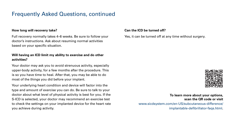# Frequently Asked Questions, continued

### **How long will recovery take?**

Full recovery normally takes 4–6 weeks. Be sure to follow your doctor's instructions. Ask about resuming normal activities based on your specific situation.

### **Will having an ICD limit my ability to exercise and do other activities?**

Your doctor may ask you to avoid strenuous activity, especially upper-body activity, for a few months after the procedure. This is so you have time to heal. After that, you may be able to do most of the things you did before your implant.

Your underlying heart condition and device will factor into the type and amount of exercise you can do. Be sure to talk to your doctor about what level of physical activity is best for you. If the S-ICD is selected, your doctor may recommend an exercise test to check the settings on your implanted device for the heart rate you achieve during activity.

### **Can the ICD be turned off?**

Yes, it can be turned off at any time without surgery.



### **To learn more about your options, scan the QR code or visit**

## www.sicdsystem.com/en-US/subcutaneous-difference/ implantable-defibrillator-faqs.html**.**